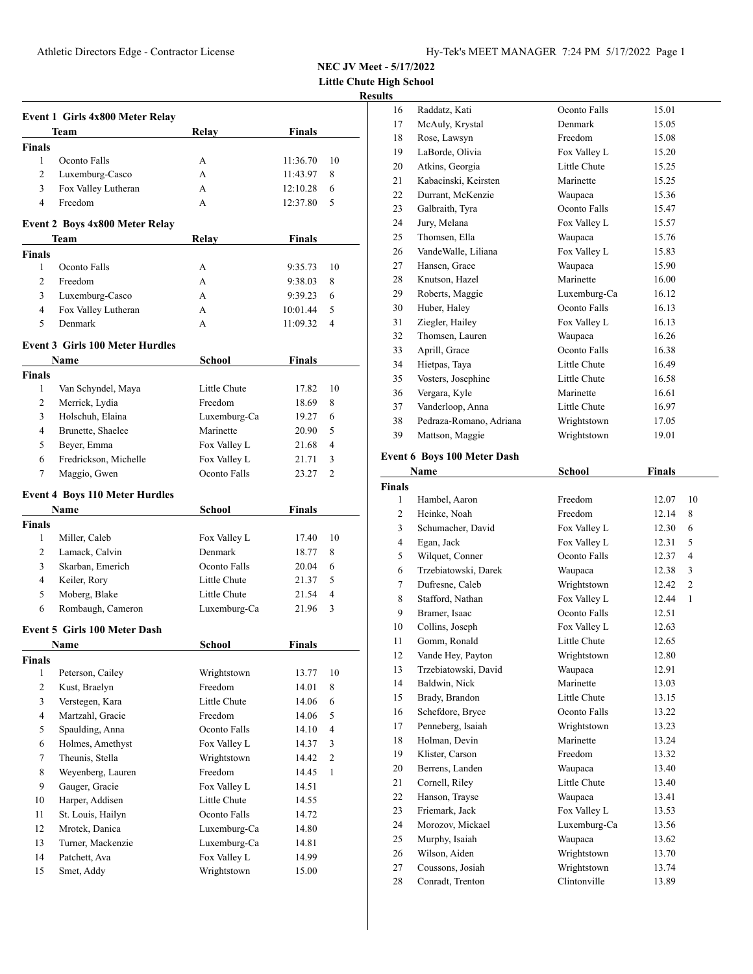**Little Chute High School**

# **Results**

|                               | <b>Event 1 Girls 4x800 Meter Relay</b> |               |               |                |
|-------------------------------|----------------------------------------|---------------|---------------|----------------|
|                               | Team                                   | Relay         | <b>Finals</b> |                |
| <b>Finals</b>                 |                                        |               |               |                |
| 1                             | Oconto Falls                           | А             | 11:36.70      | 10             |
| $\overline{c}$                | Luxemburg-Casco                        | A             | 11:43.97      | 8              |
| 3                             | Fox Valley Lutheran                    | А             | 12:10.28      | 6              |
| $\overline{4}$                | Freedom                                | A             | 12:37.80      | 5              |
|                               | <b>Event 2 Boys 4x800 Meter Relay</b>  |               |               |                |
|                               | Team                                   | Relay         | Finals        |                |
| <b>Finals</b>                 |                                        |               |               |                |
| 1                             | Oconto Falls                           | А             | 9:35.73       | 10             |
| $\overline{c}$                | Freedom                                | A             | 9:38.03       | 8              |
| 3                             | Luxemburg-Casco                        | А             | 9:39.23       | 6              |
| 4                             | Fox Valley Lutheran                    | А             | 10:01.44      | 5              |
| 5                             | Denmark                                | A             | 11:09.32      | $\overline{4}$ |
|                               | <b>Event 3 Girls 100 Meter Hurdles</b> |               |               |                |
|                               | Name                                   | <b>School</b> | Finals        |                |
| <b>Finals</b>                 |                                        |               |               |                |
| 1                             | Van Schyndel, Maya                     | Little Chute  | 17.82         | 10             |
| 2                             | Merrick, Lydia                         | Freedom       | 18.69         | 8              |
| 3                             | Holschuh, Elaina                       | Luxemburg-Ca  | 19.27         | 6              |
| 4                             | Brunette, Shaelee                      | Marinette     | 20.90         | 5              |
| 5                             | Beyer, Emma                            | Fox Valley L  | 21.68         | 4              |
| 6                             | Fredrickson, Michelle                  | Fox Valley L  | 21.71         | 3              |
| 7                             | Maggio, Gwen                           | Oconto Falls  | 23.27         | $\overline{c}$ |
|                               | <b>Event 4 Boys 110 Meter Hurdles</b>  |               |               |                |
|                               | Name                                   | School        | <b>Finals</b> |                |
| <b>Finals</b>                 |                                        |               |               |                |
| 1                             | Miller, Caleb                          | Fox Valley L  | 17.40         | 10             |
| 2                             | Lamack, Calvin                         | Denmark       | 18.77         | 8              |
| 3                             | Skarban, Emerich                       | Oconto Falls  | 20.04         | 6              |
| 4                             | Keiler, Rory                           | Little Chute  | 21.37         | 5              |
| 5                             | Moberg, Blake                          | Little Chute  | 21.54         | 4              |
| 6                             | Rombaugh, Cameron                      | Luxemburg-Ca  | 21.96         | 3              |
|                               | <b>Event 5 Girls 100 Meter Dash</b>    |               |               |                |
|                               | <b>Name</b>                            | School        | Finals        |                |
| <b>Finals</b><br>$\mathbf{1}$ | Peterson, Cailey                       | Wrightstown   | 13.77         | 10             |
| 2                             | Kust, Braelyn                          | Freedom       | 14.01         | 8              |
| 3                             | Verstegen, Kara                        | Little Chute  | 14.06         | 6              |
| $\overline{4}$                | Martzahl, Gracie                       | Freedom       | 14.06         | 5              |
| 5                             | Spaulding, Anna                        | Oconto Falls  | 14.10         | $\overline{4}$ |
| 6                             |                                        | Fox Valley L  |               | 3              |
|                               | Holmes, Amethyst<br>Theunis, Stella    |               | 14.37         |                |
| $\tau$                        |                                        | Wrightstown   | 14.42         | 2              |
| 8                             | Weyenberg, Lauren                      | Freedom       | 14.45         | $\mathbf{1}$   |
| 9                             | Gauger, Gracie                         | Fox Valley L  | 14.51         |                |
| 10                            | Harper, Addisen                        | Little Chute  | 14.55         |                |
| 11                            | St. Louis, Hailyn                      | Oconto Falls  | 14.72         |                |
| 12                            | Mrotek, Danica                         | Luxemburg-Ca  | 14.80         |                |
| 13                            | Turner, Mackenzie                      | Luxemburg-Ca  | 14.81         |                |
| 14                            | Patchett, Ava                          | Fox Valley L  | 14.99         |                |
| 15                            | Smet, Addy                             | Wrightstown   | 15.00         |                |

| S  |                         |              |       |
|----|-------------------------|--------------|-------|
| 16 | Raddatz, Kati           | Oconto Falls | 15.01 |
| 17 | McAuly, Krystal         | Denmark      | 15.05 |
| 18 | Rose, Lawsyn            | Freedom      | 15.08 |
| 19 | LaBorde, Olivia         | Fox Valley L | 15.20 |
| 20 | Atkins, Georgia         | Little Chute | 15.25 |
| 21 | Kabacinski, Keirsten    | Marinette    | 15.25 |
| 22 | Durrant, McKenzie       | Waupaca      | 15.36 |
| 23 | Galbraith, Tyra         | Oconto Falls | 15.47 |
| 24 | Jury, Melana            | Fox Valley L | 15.57 |
| 25 | Thomsen, Ella           | Waupaca      | 15.76 |
| 26 | VandeWalle, Liliana     | Fox Valley L | 15.83 |
| 27 | Hansen, Grace           | Waupaca      | 15.90 |
| 28 | Knutson, Hazel          | Marinette    | 16.00 |
| 29 | Roberts, Maggie         | Luxemburg-Ca | 16.12 |
| 30 | Huber, Haley            | Oconto Falls | 16.13 |
| 31 | Ziegler, Hailey         | Fox Valley L | 16.13 |
| 32 | Thomsen, Lauren         | Waupaca      | 16.26 |
| 33 | Aprill, Grace           | Oconto Falls | 16.38 |
| 34 | Hietpas, Taya           | Little Chute | 16.49 |
| 35 | Vosters, Josephine      | Little Chute | 16.58 |
| 36 | Vergara, Kyle           | Marinette    | 16.61 |
| 37 | Vanderloop, Anna        | Little Chute | 16.97 |
| 38 | Pedraza-Romano, Adriana | Wrightstown  | 17.05 |
| 39 | Mattson, Maggie         | Wrightstown  | 19.01 |
|    |                         |              |       |

# **Event 6 Boys 100 Meter Dash**

|                | Name                 | <b>School</b> | <b>Finals</b> |                |
|----------------|----------------------|---------------|---------------|----------------|
| <b>Finals</b>  |                      |               |               |                |
| 1              | Hambel, Aaron        | Freedom       | 12.07         | 10             |
| $\overline{2}$ | Heinke, Noah         | Freedom       | 12.14         | 8              |
| 3              | Schumacher, David    | Fox Valley L  | 12.30         | 6              |
| 4              | Egan, Jack           | Fox Valley L  | 12.31         | 5              |
| 5              | Wilquet, Conner      | Oconto Falls  | 12.37         | $\overline{4}$ |
| 6              | Trzebiatowski, Darek | Waupaca       | 12.38         | 3              |
| 7              | Dufresne, Caleb      | Wrightstown   | 12.42         | 2              |
| 8              | Stafford, Nathan     | Fox Valley L  | 12.44         | $\mathbf{1}$   |
| 9              | Bramer, Isaac        | Oconto Falls  | 12.51         |                |
| 10             | Collins, Joseph      | Fox Valley L  | 12.63         |                |
| 11             | Gomm, Ronald         | Little Chute  | 12.65         |                |
| 12             | Vande Hey, Payton    | Wrightstown   | 12.80         |                |
| 13             | Trzebiatowski, David | Waupaca       | 12.91         |                |
| 14             | Baldwin, Nick        | Marinette     | 13.03         |                |
| 15             | Brady, Brandon       | Little Chute  | 13.15         |                |
| 16             | Schefdore, Bryce     | Oconto Falls  | 13.22         |                |
| 17             | Penneberg, Isaiah    | Wrightstown   | 13.23         |                |
| 18             | Holman, Devin        | Marinette     | 13.24         |                |
| 19             | Klister, Carson      | Freedom       | 13.32         |                |
| 20             | Berrens, Landen      | Waupaca       | 13.40         |                |
| 21             | Cornell, Riley       | Little Chute  | 13.40         |                |
| 22             | Hanson, Trayse       | Waupaca       | 13.41         |                |
| 23             | Friemark, Jack       | Fox Valley L  | 13.53         |                |
| 24             | Morozov, Mickael     | Luxemburg-Ca  | 13.56         |                |
| 25             | Murphy, Isaiah       | Waupaca       | 13.62         |                |
| 26             | Wilson, Aiden        | Wrightstown   | 13.70         |                |
| 27             | Coussons, Josiah     | Wrightstown   | 13.74         |                |
| 28             | Conradt, Trenton     | Clintonville  | 13.89         |                |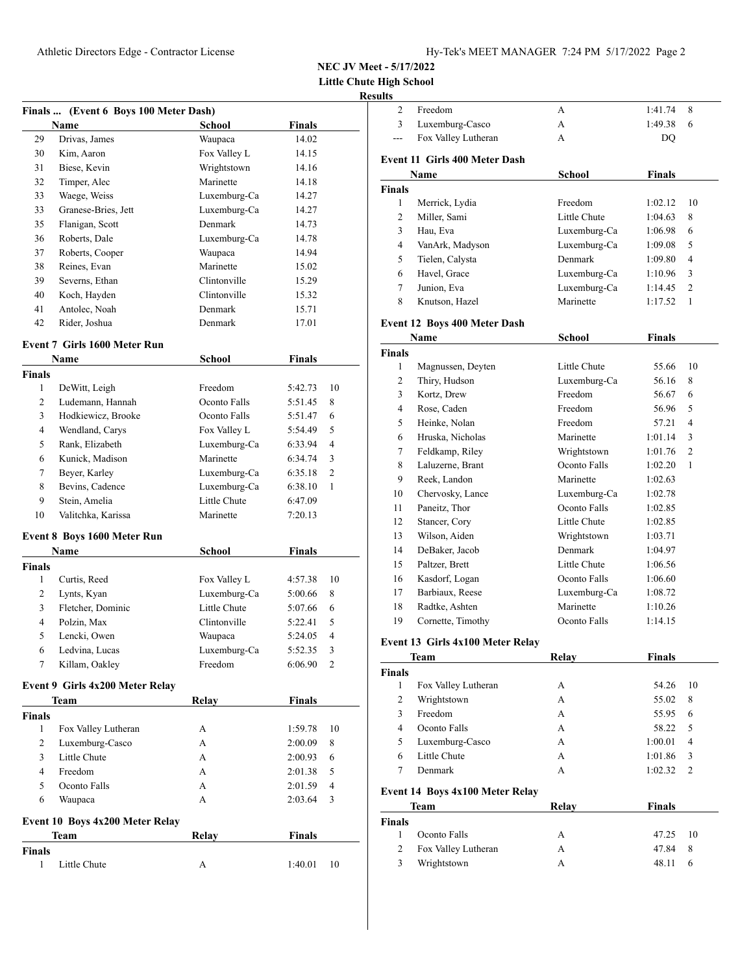**Little Chute Hi Result** 

|                    | Finals  (Event 6 Boys 100 Meter Dash) |                             |                 |                |
|--------------------|---------------------------------------|-----------------------------|-----------------|----------------|
| 29                 | Name<br>Drivas, James                 | School                      | Finals<br>14.02 |                |
| 30                 | Kim. Aaron                            | Waupaca                     | 14.15           |                |
| 31                 | Biese, Kevin                          | Fox Valley L<br>Wrightstown | 14.16           |                |
| 32                 | Timper, Alec                          | Marinette                   | 14.18           |                |
| 33                 | Waege, Weiss                          | Luxemburg-Ca                |                 |                |
|                    |                                       |                             | 14.27           |                |
| 33                 | Granese-Bries, Jett                   | Luxemburg-Ca                | 14.27           |                |
| 35                 | Flanigan, Scott                       | Denmark                     | 14.73           |                |
| 36                 | Roberts, Dale                         | Luxemburg-Ca                | 14.78           |                |
| 37                 | Roberts, Cooper                       | Waupaca                     | 14.94           |                |
| 38                 | Reines, Evan                          | Marinette                   | 15.02           |                |
| 39                 | Severns, Ethan                        | Clintonville                | 15.29           |                |
| 40                 | Koch, Hayden                          | Clintonville                | 15.32           |                |
| 41                 | Antolec, Noah                         | Denmark                     | 15.71           |                |
| 42                 | Rider, Joshua                         | Denmark                     | 17.01           |                |
|                    | <b>Event 7 Girls 1600 Meter Run</b>   |                             |                 |                |
| <b>Finals</b>      | <b>Name</b>                           | <b>School</b>               | Finals          |                |
| 1                  | DeWitt, Leigh                         | Freedom                     | 5:42.73         | 10             |
| 2                  | Ludemann, Hannah                      | Oconto Falls                | 5:51.45         | 8              |
| 3                  | Hodkiewicz, Brooke                    | Oconto Falls                | 5:51.47         | 6              |
| 4                  | Wendland, Carys                       | Fox Valley L                | 5:54.49         | 5              |
| 5                  | Rank, Elizabeth                       | Luxemburg-Ca                | 6:33.94         | $\overline{4}$ |
| 6                  | Kunick, Madison                       | Marinette                   | 6:34.74         | 3              |
| 7                  | Beyer, Karley                         | Luxemburg-Ca                | 6:35.18         | 2              |
| 8                  | Bevins, Cadence                       | Luxemburg-Ca                | 6:38.10         | 1              |
| 9                  | Stein, Amelia                         | Little Chute                | 6:47.09         |                |
| 10                 | Valitchka, Karissa                    | Marinette                   | 7:20.13         |                |
|                    |                                       |                             |                 |                |
|                    | Event 8 Boys 1600 Meter Run<br>Name   | School                      | Finals          |                |
| <b>Finals</b>      |                                       |                             |                 |                |
| 1                  | Curtis, Reed                          | Fox Valley L                | 4:57.38         | 10             |
| 2                  | Lynts, Kyan                           | Luxemburg-Ca                | 5:00.66         | 8              |
| 3                  | Fletcher, Dominic                     | Little Chute                | 5:07.66         | 6              |
| 4                  | Polzin, Max                           | Clintonville                | 5:22.41         | 5              |
| 5                  | Lencki, Owen                          | Waupaca                     | 5:24.05         | 4              |
| 6                  | Ledvina, Lucas                        |                             | 5:52.35         | 3              |
| 7                  | Killam, Oakley                        | Luxemburg-Ca<br>Freedom     | 6:06.90         | 2              |
|                    |                                       |                             |                 |                |
|                    | Event 9 Girls 4x200 Meter Relay       |                             |                 |                |
| <b>Finals</b>      | Team                                  | Relay                       | <b>Finals</b>   |                |
| 1                  | Fox Valley Lutheran                   | А                           | 1:59.78         | 10             |
| 2                  | Luxemburg-Casco                       | A                           | 2:00.09         | 8              |
| 3                  | Little Chute                          | A                           | 2:00.93         | 6              |
| $\overline{4}$     | Freedom                               | A                           | 2:01.38         | 5              |
| 5                  | Oconto Falls                          | А                           | 2:01.59         | 4              |
| 6                  |                                       | A                           |                 | 3              |
|                    | Waupaca                               |                             | 2:03.64         |                |
|                    | Event 10 Boys 4x200 Meter Relay       |                             |                 |                |
|                    | Team                                  | Relay                       | <b>Finals</b>   |                |
| <b>Finals</b><br>1 |                                       |                             |                 | 10             |
|                    | Little Chute                          | A                           | 1:40.01         |                |
|                    |                                       |                             |                 |                |

| High School            |                                     |              |                    |                |
|------------------------|-------------------------------------|--------------|--------------------|----------------|
| ults<br>$\overline{2}$ | Freedom                             |              |                    | 8              |
| 3                      | Luxemburg-Casco                     | A<br>A       | 1:41.74<br>1:49.38 | 6              |
| ---                    | Fox Valley Lutheran                 | A            | DQ                 |                |
|                        |                                     |              |                    |                |
|                        | Event 11 Girls 400 Meter Dash       |              |                    |                |
|                        | Name                                | School       | <b>Finals</b>      |                |
| <b>Finals</b>          |                                     |              |                    |                |
| $\mathbf{1}$           | Merrick, Lydia                      | Freedom      | 1:02.12            | 10             |
| $\overline{2}$         | Miller, Sami                        | Little Chute | 1:04.63            | 8              |
| 3                      | Hau, Eva                            | Luxemburg-Ca | 1:06.98            | 6              |
| 4                      | VanArk, Madyson                     | Luxemburg-Ca | 1:09.08            | 5              |
| 5                      | Tielen, Calysta                     | Denmark      | 1:09.80            | 4              |
| 6                      | Havel, Grace                        | Luxemburg-Ca | 1:10.96            | 3              |
| 7                      | Junion, Eva                         | Luxemburg-Ca | 1:14.45            | $\overline{2}$ |
| 8                      | Knutson, Hazel                      | Marinette    | 1:17.52            | 1              |
|                        | <b>Event 12 Boys 400 Meter Dash</b> |              |                    |                |
|                        | Name                                | School       | Finals             |                |
| <b>Finals</b>          |                                     |              |                    |                |
| 1                      | Magnussen, Deyten                   | Little Chute | 55.66              | 10             |
| 2                      | Thiry, Hudson                       | Luxemburg-Ca | 56.16              | 8              |
| 3                      | Kortz, Drew                         | Freedom      | 56.67              | 6              |
| 4                      | Rose, Caden                         | Freedom      | 56.96              | 5              |
| 5                      | Heinke, Nolan                       | Freedom      | 57.21              | 4              |
| 6                      | Hruska, Nicholas                    | Marinette    | 1:01.14            | 3              |
| 7                      | Feldkamp, Riley                     | Wrightstown  | 1:01.76            | $\overline{2}$ |
| 8                      | Laluzerne, Brant                    | Oconto Falls | 1:02.20            | 1              |
| 9                      | Reek, Landon                        | Marinette    | 1:02.63            |                |
| 10                     | Chervosky, Lance                    | Luxemburg-Ca | 1:02.78            |                |
| 11                     | Paneitz, Thor                       | Oconto Falls | 1:02.85            |                |
| 12                     | Stancer, Cory                       | Little Chute | 1:02.85            |                |
| 13                     | Wilson, Aiden                       | Wrightstown  | 1:03.71            |                |
| 14                     | DeBaker, Jacob                      | Denmark      | 1:04.97            |                |
| 15                     | Paltzer, Brett                      | Little Chute | 1:06.56            |                |
| 16                     | Kasdorf, Logan                      | Oconto Falls | 1:06.60            |                |
| 17                     | Barbiaux, Reese                     | Luxemburg-Ca | 1:08.72            |                |
| 18                     | Radtke, Ashten                      | Marinette    | 1:10.26            |                |
| 19                     | Cornette, Timothy                   | Oconto Falls | 1:14.15            |                |
|                        |                                     |              |                    |                |
|                        | Event 13 Girls 4x100 Meter Relay    |              |                    |                |
|                        | Team                                | Relay        | <b>Finals</b>      |                |
| <b>Finals</b><br>1     | Fox Valley Lutheran                 | А            | 54.26              | 10             |
| $\overline{c}$         | Wrightstown                         | A            | 55.02              | 8              |
| 3                      | Freedom                             | A            | 55.95              | 6              |
| 4                      | Oconto Falls                        | A            | 58.22              | 5              |
| 5                      | Luxemburg-Casco                     | А            | 1:00.01            | 4              |
| 6                      | Little Chute                        | А            | 1:01.86            | 3              |
| 7                      | Denmark                             | A            | 1:02.32            | 2              |
|                        |                                     |              |                    |                |
|                        | Event 14 Boys 4x100 Meter Relay     |              |                    |                |
|                        | Team                                | Relay        | <b>Finals</b>      |                |
| <b>Finals</b>          |                                     |              |                    |                |
| 1                      | Oconto Falls                        | А            | 47.25              | 10             |
| 2                      | Fox Valley Lutheran                 | А            | 47.84              | 8              |

Wrightstown A 48.11 6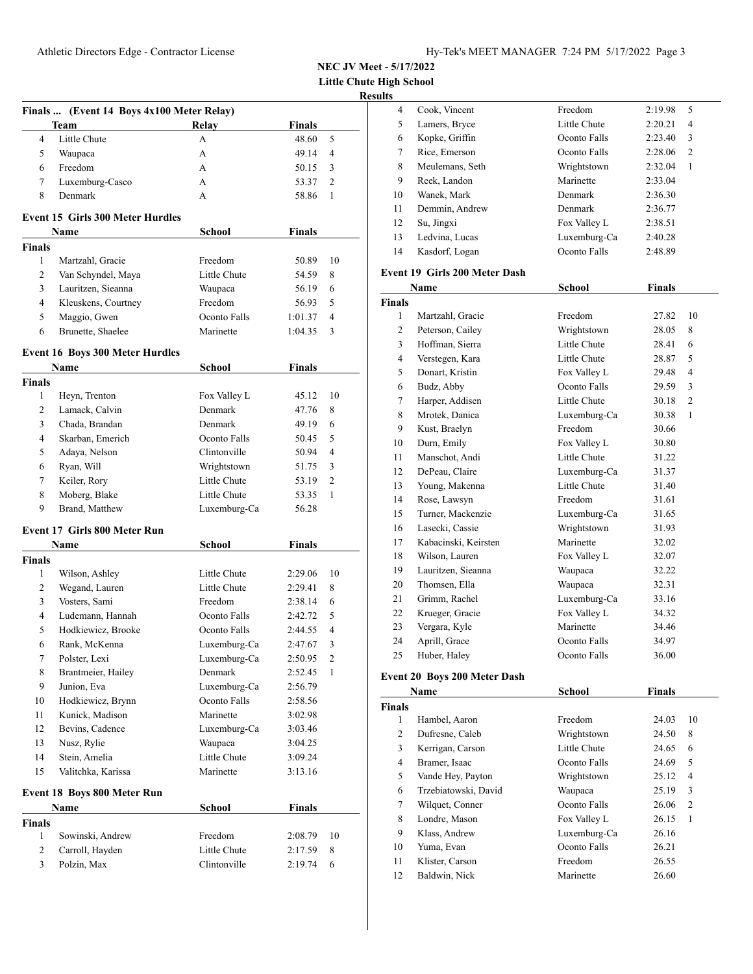**Little Chute High School**

# **Results**

|                | Finals  (Event 14 Boys 4x100 Meter Relay) |               |               |                |
|----------------|-------------------------------------------|---------------|---------------|----------------|
|                | Team                                      | Relay         | <b>Finals</b> |                |
| 4              | Little Chute                              | A             | 48.60         | 5              |
| 5              | Waupaca                                   | А             | 49.14         | 4              |
| 6              | Freedom                                   | A             | 50.15         | 3              |
| 7              | Luxemburg-Casco                           | A             | 53.37         | $\overline{c}$ |
| 8              | Denmark                                   | A             | 58.86         | 1              |
|                | <b>Event 15 Girls 300 Meter Hurdles</b>   |               |               |                |
|                | Name                                      | School        | <b>Finals</b> |                |
| <b>Finals</b>  |                                           |               |               |                |
| $\mathbf{1}$   | Martzahl, Gracie                          | Freedom       | 50.89         | 10             |
| 2              | Van Schyndel, Maya                        | Little Chute  | 54.59         | 8              |
| 3              | Lauritzen, Sieanna                        | Waupaca       | 56.19         | 6              |
| $\overline{4}$ | Kleuskens, Courtney                       | Freedom       | 56.93         | 5              |
| 5              | Maggio, Gwen                              | Oconto Falls  | 1:01.37       | 4              |
| 6              | Brunette, Shaelee                         | Marinette     | 1:04.35       | 3              |
|                | <b>Event 16 Boys 300 Meter Hurdles</b>    |               |               |                |
|                | Name                                      | <b>School</b> | <b>Finals</b> |                |
| <b>Finals</b>  |                                           |               |               |                |
| 1              | Heyn, Trenton                             | Fox Valley L  | 45.12         | 10             |
| 2              | Lamack, Calvin                            | Denmark       | 47.76         | 8              |
| 3              | Chada, Brandan                            | Denmark       | 49.19         | 6              |
| 4              | Skarban, Emerich                          | Oconto Falls  | 50.45         | 5              |
| 5              | Adaya, Nelson                             | Clintonville  | 50.94         | 4              |
| 6              | Ryan, Will                                | Wrightstown   | 51.75         | 3              |
| 7              | Keiler, Rory                              | Little Chute  | 53.19         | 2              |
| 8              | Moberg, Blake                             | Little Chute  | 53.35         | 1              |
| 9              | Brand, Matthew                            | Luxemburg-Ca  | 56.28         |                |
|                | <b>Event 17 Girls 800 Meter Run</b>       |               |               |                |
|                | Name                                      | <b>School</b> | <b>Finals</b> |                |
| <b>Finals</b>  |                                           |               |               |                |
| 1              | Wilson, Ashley                            | Little Chute  | 2:29.06       | 10             |
| 2              | Wegand, Lauren                            | Little Chute  | 2:29.41       | 8              |
| 3              | Vosters, Sami                             | Freedom       | 2:38.14       | 6              |
| $\overline{4}$ | Ludemann, Hannah                          | Oconto Falls  | 2:42.72       | 5              |
| 5              | Hodkiewicz, Brooke                        | Oconto Falls  | 2:44.55       | 4              |
| 6              | Rank, McKenna                             | Luxemburg-Ca  | 2:47.67       | 3              |
| $\tau$         | Polster, Lexi                             | Luxemburg-Ca  | 2:50.95       | $\mathbf{2}$   |
| 8              | Brantmeier, Hailey                        | Denmark       | 2:52.45       | 1              |
| 9              | Junion, Eva                               | Luxemburg-Ca  | 2:56.79       |                |
| 10             | Hodkiewicz, Brynn                         | Oconto Falls  | 2:58.56       |                |
| 11             | Kunick, Madison                           | Marinette     | 3:02.98       |                |
| 12             | Bevins, Cadence                           | Luxemburg-Ca  | 3:03.46       |                |
| 13             | Nusz, Rylie                               | Waupaca       | 3:04.25       |                |
| 14             | Stein, Amelia                             | Little Chute  | 3:09.24       |                |
| 15             | Valitchka, Karissa                        | Marinette     | 3:13.16       |                |
|                | Event 18 Boys 800 Meter Run               |               |               |                |
|                | <b>Name</b>                               | School        | <b>Finals</b> |                |
| Finals         |                                           |               |               |                |
| 1              | Sowinski, Andrew                          | Freedom       | 2:08.79       | 10             |
| $\overline{c}$ | Carroll, Hayden                           | Little Chute  | 2:17.59       | 8              |
| 3              | Polzin, Max                               | Clintonville  | 2:19.74       | 6              |

| 4  | Cook, Vincent   | Freedom        | 2:19.98 | 5              |
|----|-----------------|----------------|---------|----------------|
| 5  | Lamers, Bryce   | Little Chute   | 2:20.21 | 4              |
| 6  | Kopke, Griffin  | Oconto Falls   | 2:23.40 | 3              |
| 7  | Rice, Emerson   | Oconto Falls   | 2:28.06 | $\overline{c}$ |
| 8  | Meulemans, Seth | Wrightstown    | 2:32.04 | 1              |
| 9  | Reek, Landon    | Marinette      | 2:33.04 |                |
| 10 | Wanek, Mark     | Denmark        | 2:36.30 |                |
| 11 | Demmin, Andrew  | <b>Denmark</b> | 2:36.77 |                |
| 12 | Su, Jingxi      | Fox Valley L   | 2:38.51 |                |
| 13 | Ledvina, Lucas  | Luxemburg-Ca   | 2:40.28 |                |
| 14 | Kasdorf, Logan  | Oconto Falls   | 2:48.89 |                |
|    |                 |                |         |                |

#### **Event 19 Girls 200 Meter Dash**

| Name           |                      | School       | <b>Finals</b> |    |
|----------------|----------------------|--------------|---------------|----|
| <b>Finals</b>  |                      |              |               |    |
| 1              | Martzahl, Gracie     | Freedom      | 27.82         | 10 |
| 2              | Peterson, Cailey     | Wrightstown  | 28.05         | 8  |
| 3              | Hoffman, Sierra      | Little Chute | 28.41         | 6  |
| $\overline{4}$ | Verstegen, Kara      | Little Chute | 28.87         | 5  |
| 5              | Donart, Kristin      | Fox Valley L | 29.48         | 4  |
| 6              | Budz, Abby           | Oconto Falls | 29.59         | 3  |
| 7              | Harper, Addisen      | Little Chute | 30.18         | 2  |
| 8              | Mrotek, Danica       | Luxemburg-Ca | 30.38         | 1  |
| 9              | Kust, Braelyn        | Freedom      | 30.66         |    |
| 10             | Durn, Emily          | Fox Valley L | 30.80         |    |
| 11             | Manschot, Andi       | Little Chute | 31.22         |    |
| 12             | DePeau, Claire       | Luxemburg-Ca | 31.37         |    |
| 13             | Young, Makenna       | Little Chute | 31.40         |    |
| 14             | Rose, Lawsyn         | Freedom      | 31.61         |    |
| 15             | Turner, Mackenzie    | Luxemburg-Ca | 31.65         |    |
| 16             | Lasecki, Cassie      | Wrightstown  | 31.93         |    |
| 17             | Kabacinski, Keirsten | Marinette    | 32.02         |    |
| 18             | Wilson, Lauren       | Fox Valley L | 32.07         |    |
| 19             | Lauritzen, Sieanna   | Waupaca      | 32.22         |    |
| 20             | Thomsen, Ella        | Waupaca      | 32.31         |    |
| 21             | Grimm, Rachel        | Luxemburg-Ca | 33.16         |    |
| 22             | Krueger, Gracie      | Fox Valley L | 34.32         |    |
| 23             | Vergara, Kyle        | Marinette    | 34.46         |    |
| 24             | Aprill, Grace        | Oconto Falls | 34.97         |    |
| 25             | Huber, Haley         | Oconto Falls | 36.00         |    |

# **Event 20 Boys 200 Meter Dash**

|               | Name                 | <b>School</b> | <b>Finals</b> |                |
|---------------|----------------------|---------------|---------------|----------------|
| <b>Finals</b> |                      |               |               |                |
| 1             | Hambel, Aaron        | Freedom       | 24.03         | 10             |
| 2             | Dufresne, Caleb      | Wrightstown   | 24.50         | 8              |
| 3             | Kerrigan, Carson     | Little Chute  | 24.65         | 6              |
| 4             | Bramer, Isaac        | Oconto Falls  | 24.69         | 5              |
| 5             | Vande Hey, Payton    | Wrightstown   | 25.12         | 4              |
| 6             | Trzebiatowski, David | Waupaca       | 25.19         | 3              |
| 7             | Wilquet, Conner      | Oconto Falls  | 26.06         | $\overline{2}$ |
| 8             | Londre, Mason        | Fox Valley L  | 26.15         | 1              |
| 9             | Klass, Andrew        | Luxemburg-Ca  | 26.16         |                |
| 10            | Yuma, Evan           | Oconto Falls  | 26.21         |                |
| 11            | Klister, Carson      | Freedom       | 26.55         |                |
| 12            | Baldwin, Nick        | Marinette     | 26.60         |                |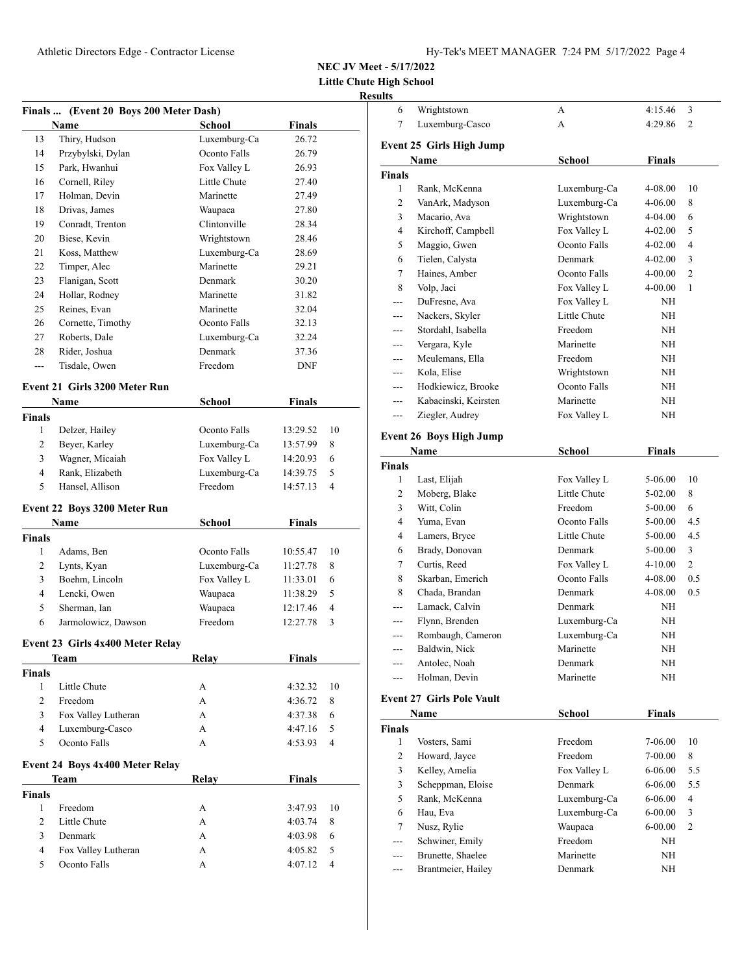**Little Chute High School Results**

| <b>Finals</b>       | (Event 20 Boys 200 Meter Dash)       |              |                    |        |
|---------------------|--------------------------------------|--------------|--------------------|--------|
|                     | Name                                 | School       | Finals             |        |
| 13                  | Thiry, Hudson                        | Luxemburg-Ca | 26.72              |        |
| 14                  | Przybylski, Dylan                    | Oconto Falls | 26.79              |        |
| 15                  | Park, Hwanhui                        | Fox Valley L | 26.93              |        |
| 16                  | Cornell, Riley                       | Little Chute | 27.40              |        |
| 17                  | Holman, Devin                        | Marinette    | 27.49              |        |
| 18                  | Drivas, James                        | Waupaca      | 27.80              |        |
| 19                  | Conradt, Trenton                     | Clintonville | 28.34              |        |
| 20                  | Biese, Kevin                         | Wrightstown  | 28.46              |        |
| 21                  | Koss, Matthew                        | Luxemburg-Ca | 28.69              |        |
| 22                  | Timper, Alec                         | Marinette    | 29.21              |        |
| 23                  | Flanigan, Scott                      | Denmark      | 30.20              |        |
| 24                  | Hollar, Rodney                       | Marinette    | 31.82              |        |
| 25                  | Reines, Evan                         | Marinette    | 32.04              |        |
| 26                  | Cornette, Timothy                    | Oconto Falls | 32.13              |        |
| 27                  | Roberts, Dale                        | Luxemburg-Ca | 32.24              |        |
| 28                  | Rider, Joshua                        | Denmark      | 37.36              |        |
| ---                 | Tisdale, Owen                        | Freedom      | <b>DNF</b>         |        |
|                     |                                      |              |                    |        |
|                     | <b>Event 21 Girls 3200 Meter Run</b> |              |                    |        |
|                     | Name                                 | School       | <b>Finals</b>      |        |
| <b>Finals</b>       |                                      |              |                    |        |
| 1                   | Delzer, Hailey                       | Oconto Falls | 13:29.52           | 10     |
| 2                   | Beyer, Karley                        | Luxemburg-Ca | 13:57.99           | 8      |
| 3                   | Wagner, Micaiah                      | Fox Valley L | 14:20.93           | 6      |
| 4                   | Rank, Elizabeth                      | Luxemburg-Ca | 14:39.75           | 5      |
| 5                   | Hansel, Allison                      | Freedom      | 14:57.13           | 4      |
|                     | Event 22 Boys 3200 Meter Run         |              |                    |        |
|                     | <b>Name</b>                          | School       | <b>Finals</b>      |        |
| <b>Finals</b>       |                                      |              |                    |        |
| $\mathbf{1}$        | Adams, Ben                           | Oconto Falls | 10:55.47           | 10     |
| $\overline{2}$      | Lynts, Kyan                          | Luxemburg-Ca | 11:27.78           | 8      |
| 3                   | Boehm, Lincoln                       | Fox Valley L | 11:33.01           | 6      |
| 4                   | Lencki, Owen                         | Waupaca      | 11:38.29           | 5      |
| 5                   | Sherman, Ian                         | Waupaca      | 12:17.46           | 4      |
| 6                   | Jarmolowicz, Dawson                  | Freedom      | 12:27.78           | 3      |
|                     | Event 23 Girls 4x400 Meter Relay     |              |                    |        |
|                     | <b>Team</b>                          | <b>Relay</b> | <b>Finals</b>      |        |
| <b>Finals</b>       |                                      |              |                    |        |
| $\mathbf{1}$        | Little Chute                         | А            | 4:32.32            | 10     |
| $\overline{2}$      | Freedom                              | A            | 4:36.72            | 8      |
| 3                   | Fox Valley Lutheran                  | А            | 4:37.38            | 6      |
| 4                   | Luxemburg-Casco                      | А            | 4:47.16            | 5      |
| 5                   | Oconto Falls                         | A            | 4:53.93            | 4      |
|                     |                                      |              |                    |        |
|                     | Event 24 Boys 4x400 Meter Relay      |              |                    |        |
|                     | Team                                 | <b>Relay</b> | <b>Finals</b>      |        |
| <b>Finals</b>       |                                      |              |                    |        |
| 1<br>$\overline{2}$ | Freedom<br>Little Chute              | А            | 3:47.93            | 10     |
| 3                   | Denmark                              | А            | 4:03.74            | 8      |
| 4                   | Fox Valley Lutheran                  | А            | 4:03.98            | 6<br>5 |
| 5                   | Oconto Falls                         | А<br>А       | 4:05.82<br>4:07.12 | 4      |
|                     |                                      |              |                    |        |

| 6             | Wrightstown                      | А                  | 4:15.46       | 3              |
|---------------|----------------------------------|--------------------|---------------|----------------|
| 7             | Luxemburg-Casco                  | А                  | 4:29.86       | $\overline{2}$ |
|               |                                  |                    |               |                |
|               | <b>Event 25 Girls High Jump</b>  |                    |               |                |
|               | Name                             | School             | Finals        |                |
| <b>Finals</b> |                                  |                    |               |                |
| 1             | Rank, McKenna                    | Luxemburg-Ca       | 4-08.00       | 10             |
| 2             | VanArk, Madyson                  | Luxemburg-Ca       | 4-06.00       | 8              |
| 3             | Macario, Ava                     | Wrightstown        | 4-04.00       | 6              |
| 4             | Kirchoff, Campbell               | Fox Valley L       | 4-02.00       | 5              |
| 5             | Maggio, Gwen                     | Oconto Falls       | 4-02.00       | 4              |
| 6             | Tielen, Calysta                  | Denmark            | 4-02.00       | 3              |
| 7             | Haines, Amber                    | Oconto Falls       | 4-00.00       | 2              |
| 8             | Volp, Jaci                       | Fox Valley L       | 4-00.00       | 1              |
| ---           | DuFresne, Ava                    | Fox Valley L       | NH            |                |
| ---           | Nackers, Skyler                  | Little Chute       | NH            |                |
|               | Stordahl, Isabella               | Freedom            | NH            |                |
| ---           | Vergara, Kyle                    | Marinette          | NH            |                |
| ---           | Meulemans, Ella                  | Freedom            | ΝH            |                |
| $---$         | Kola, Elise                      | Wrightstown        | NH            |                |
| ---           | Hodkiewicz, Brooke               | Oconto Falls       | NH            |                |
| $---$         | Kabacinski, Keirsten             | Marinette          | NH            |                |
| ---           | Ziegler, Audrey                  | Fox Valley L       | ΝH            |                |
|               | <b>Event 26 Boys High Jump</b>   |                    |               |                |
|               | Name                             | School             | <b>Finals</b> |                |
| <b>Finals</b> |                                  |                    |               |                |
| 1             | Last, Elijah                     | Fox Valley L       | 5-06.00       | 10             |
| 2             | Moberg, Blake                    | Little Chute       | 5-02.00       | 8              |
| 3             | Witt, Colin                      | Freedom            | 5-00.00       | 6              |
| 4             | Yuma, Evan                       | Oconto Falls       | 5-00.00       | 4.5            |
| 4             | Lamers, Bryce                    | Little Chute       | 5-00.00       | 4.5            |
| 6             | Brady, Donovan                   | Denmark            | 5-00.00       | 3              |
| 7             | Curtis, Reed                     | Fox Valley L       | 4-10.00       | 2              |
| 8             | Skarban, Emerich                 | Oconto Falls       | 4-08.00       | 0.5            |
| 8             | Chada, Brandan                   | Denmark            | 4-08.00       | 0.5            |
|               | Lamack, Calvin                   | Denmark            | NH            |                |
|               | Flynn, Brenden                   | Luxemburg-Ca       | NH            |                |
| ---           | Rombaugh, Cameron                | Luxemburg-Ca       | NH            |                |
| ---           | Baldwin, Nick                    | Marinette          | NH            |                |
|               | Antolec, Noah                    | Denmark            | NH            |                |
| ---           | Holman, Devin                    | Marinette          | NH            |                |
|               |                                  |                    |               |                |
|               | <b>Event 27 Girls Pole Vault</b> |                    |               |                |
|               | Name                             | School             | Finals        |                |
| Finals        |                                  |                    |               |                |
| 1             | Vosters, Sami                    | Freedom            | 7-06.00       | 10             |
| 2             | Howard, Jayce                    | Freedom            | 7-00.00       | 8              |
| 3             | Kelley, Amelia                   | Fox Valley L       | 6-06.00       | 5.5            |
| 3             | Scheppman, Eloise                | Denmark            | 6-06.00       | 5.5            |
| 5             | Rank, McKenna                    | Luxemburg-Ca       | 6-06.00       | 4              |
| 6             | Hau, Eva                         | Luxemburg-Ca       | 6-00.00       | 3              |
| 7             | Nusz, Rylie                      | Waupaca<br>Freedom | $6 - 00.00$   | 2              |
| ---           | Schwiner, Emily                  | Marinette          | NH            |                |
| ---           | Brunette, Shaelee                |                    | ΝH            |                |

--- Brantmeier, Hailey Denmark NH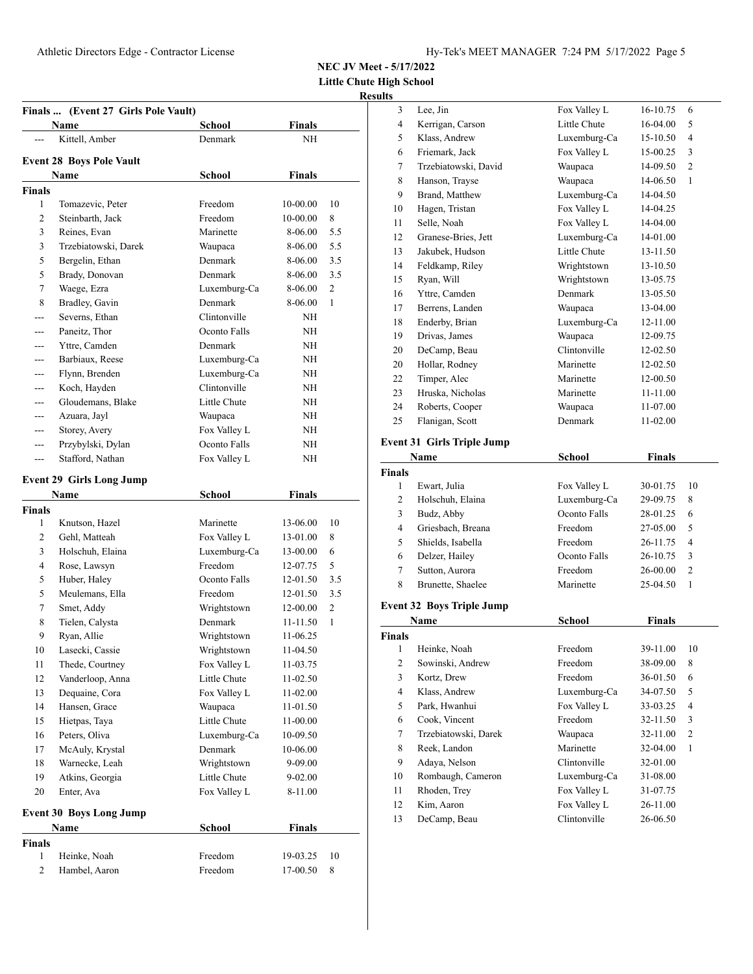3 Lee, Jin Fox Valley L 16-10.75 6

**NEC JV Meet - 5/17/2022**

**Little Chute High School**

#### **Results**

| Finals  (Event 27 Girls Pole Vault) |                                 |              |               |     |
|-------------------------------------|---------------------------------|--------------|---------------|-----|
|                                     | Name                            | School       | <b>Finals</b> |     |
|                                     | Kittell, Amber                  | Denmark      | NH            |     |
|                                     | <b>Event 28 Boys Pole Vault</b> |              |               |     |
|                                     | Name                            | School       | Finals        |     |
| <b>Finals</b>                       |                                 |              |               |     |
| 1                                   | Tomazevic, Peter                | Freedom      | 10-00.00      | 10  |
| 2                                   | Steinbarth, Jack                | Freedom      | 10-00.00      | 8   |
| 3                                   | Reines, Evan                    | Marinette    | 8-06.00       | 5.5 |
| 3                                   | Trzebiatowski, Darek            | Waupaca      | 8-06.00       | 5.5 |
| 5                                   | Bergelin, Ethan                 | Denmark      | 8-06.00       | 3.5 |
| 5                                   | Brady, Donovan                  | Denmark      | 8-06.00       | 3.5 |
| 7                                   | Waege, Ezra                     | Luxemburg-Ca | 8-06.00       | 2   |
| 8                                   | Bradley, Gavin                  | Denmark      | 8-06.00       | 1   |
| ---                                 | Severns, Ethan                  | Clintonville | NΗ            |     |
| ---                                 | Paneitz, Thor                   | Oconto Falls | NH            |     |
| $---$                               | Yttre, Camden                   | Denmark      | NΗ            |     |
| ---                                 | Barbiaux, Reese                 | Luxemburg-Ca | NH            |     |
| ---                                 | Flynn, Brenden                  | Luxemburg-Ca | NΗ            |     |
| ---                                 | Koch, Hayden                    | Clintonville | NΗ            |     |
| ---                                 | Gloudemans, Blake               | Little Chute | NΗ            |     |
| ---                                 | Azuara, Jayl                    | Waupaca      | ΝH            |     |
| ---                                 | Storey, Avery                   | Fox Valley L | ΝH            |     |
| ---                                 | Przybylski, Dylan               | Oconto Falls | ΝH            |     |
| ---                                 | Stafford, Nathan                | Fox Valley L | NΗ            |     |
|                                     |                                 |              |               |     |
|                                     | <b>Event 29 Girls Long Jump</b> |              |               |     |
|                                     | Name                            | School       | <b>Finals</b> |     |
| <b>Finals</b>                       |                                 |              |               |     |
| 1                                   | Knutson, Hazel                  | Marinette    | 13-06.00      | 10  |
| 2                                   | Gehl, Matteah                   | Fox Valley L | 13-01.00      | 8   |
| 3                                   | Holschuh, Elaina                | Luxemburg-Ca | 13-00.00      | 6   |
| 4                                   | Rose, Lawsyn                    | Freedom      | 12-07.75      | 5   |
| 5                                   | Huber, Haley                    | Oconto Falls | 12-01.50      | 3.5 |
| 5                                   | Meulemans, Ella                 | Freedom      | 12-01.50      | 3.5 |
| 7                                   | Smet, Addy                      | Wrightstown  | 12-00.00      | 2   |
| 8                                   | Tielen, Calysta                 | Denmark      | 11-11.50      | 1   |
| 9                                   | Ryan, Allie                     | Wrightstown  | 11-06.25      |     |
| 10                                  | Lasecki, Cassie                 | Wrightstown  | 11-04.50      |     |
| 11                                  | Thede, Courtney                 | Fox Valley L | 11-03.75      |     |
| 12                                  | Vanderloop, Anna                | Little Chute | 11-02.50      |     |
| 13                                  | Dequaine, Cora                  | Fox Valley L | 11-02.00      |     |
| 14                                  | Hansen, Grace                   | Waupaca      | 11-01.50      |     |
| 15                                  | Hietpas, Taya                   | Little Chute | 11-00.00      |     |
| 16                                  | Peters, Oliva                   | Luxemburg-Ca | 10-09.50      |     |
| 17                                  | McAuly, Krystal                 | Denmark      | 10-06.00      |     |
| 18                                  | Warnecke, Leah                  | Wrightstown  | 9-09.00       |     |
| 19                                  | Atkins, Georgia                 | Little Chute | $9 - 02.00$   |     |
| 20                                  | Enter, Ava                      | Fox Valley L | 8-11.00       |     |
|                                     | <b>Event 30 Boys Long Jump</b>  |              |               |     |
|                                     | Name                            | School       | Finals        |     |
| Finals                              |                                 |              |               |     |
| 1                                   | Heinke, Noah                    | Freedom      | 19-03.25      | 10  |
| $\mathbf{2}$                        | Hambel, Aaron                   | Freedom      | 17-00.50      | 8   |
|                                     |                                 |              |               |     |

| 4              | Kerrigan, Carson                  | Little Chute                 | 16-04.00             | 5  |
|----------------|-----------------------------------|------------------------------|----------------------|----|
| 5              | Klass, Andrew                     | Luxemburg-Ca                 | 15-10.50             | 4  |
| 6              | Friemark, Jack                    | Fox Valley L                 | 15-00.25             | 3  |
| 7              | Trzebiatowski, David              | Waupaca                      | 14-09.50             | 2  |
| 8              | Hanson, Trayse                    | Waupaca                      | 14-06.50             | 1  |
| 9              | Brand, Matthew                    | Luxemburg-Ca                 | 14-04.50             |    |
| 10             | Hagen, Tristan                    | Fox Valley L                 | 14-04.25             |    |
| 11             | Selle, Noah                       | Fox Valley L                 | 14-04.00             |    |
| 12             | Granese-Bries, Jett               | Luxemburg-Ca                 | 14-01.00             |    |
| 13             | Jakubek, Hudson                   | Little Chute                 | 13-11.50             |    |
| 14             | Feldkamp, Riley                   | Wrightstown                  | 13-10.50             |    |
| 15             | Ryan, Will                        | Wrightstown                  | 13-05.75             |    |
| 16             | Yttre, Camden                     | Denmark                      | 13-05.50             |    |
| 17             | Berrens, Landen                   | Waupaca                      | 13-04.00             |    |
| 18             | Enderby, Brian                    | Luxemburg-Ca                 | 12-11.00             |    |
| 19             | Drivas, James                     | Waupaca                      | 12-09.75             |    |
| 20             | DeCamp, Beau                      | Clintonville                 | 12-02.50             |    |
| 20             | Hollar, Rodney                    | Marinette                    | 12-02.50             |    |
| 22             | Timper, Alec                      | Marinette                    | 12-00.50             |    |
| 23             | Hruska, Nicholas                  | Marinette                    | 11-11.00             |    |
| 24             | Roberts, Cooper                   | Waupaca                      | 11-07.00             |    |
| 25             | Flanigan, Scott                   | Denmark                      | 11-02.00             |    |
|                |                                   |                              |                      |    |
|                | <b>Event 31 Girls Triple Jump</b> |                              |                      |    |
|                | Name                              | <b>School</b>                | <b>Finals</b>        |    |
| <b>Finals</b>  |                                   |                              |                      |    |
| 1              | Ewart, Julia                      | Fox Valley L                 | 30-01.75             | 10 |
| 2              | Holschuh, Elaina                  | Luxemburg-Ca                 | 29-09.75             | 8  |
| 3              | Budz, Abby                        | Oconto Falls                 | 28-01.25             | 6  |
| 4              | Griesbach, Breana                 | Freedom                      | 27-05.00             | 5  |
| 5              | Shields, Isabella                 | Freedom                      | 26-11.75             | 4  |
| 6              | Delzer, Hailey                    | Oconto Falls                 | 26-10.75             | 3  |
|                |                                   |                              |                      |    |
| 7              | Sutton, Aurora                    | Freedom                      | 26-00.00             | 2  |
| 8              | Brunette, Shaelee                 | Marinette                    | 25-04.50             | 1  |
|                |                                   |                              |                      |    |
|                | <b>Event 32 Boys Triple Jump</b>  |                              |                      |    |
|                | Name                              | <b>School</b>                | <b>Finals</b>        |    |
| Finals         |                                   |                              |                      |    |
| 1              | Heinke, Noah                      | Freedom<br>Freedom           | 39-11.00             | 10 |
| $\overline{c}$ | Sowinski, Andrew                  |                              | 38-09.00             | 8  |
| 3              | Kortz, Drew                       | Freedom                      | 36-01.50             | 6  |
| 4              | Klass, Andrew                     | Luxemburg-Ca                 | 34-07.50             | 5  |
| 5              | Park, Hwanhui                     | Fox Valley L                 | 33-03.25             | 4  |
| 6              | Cook, Vincent                     | Freedom                      | 32-11.50             | 3  |
| 7              | Trzebiatowski, Darek              | Waupaca                      | 32-11.00             | 2  |
| 8              | Reek, Landon                      | Marinette                    | 32-04.00             | 1  |
| 9              | Adaya, Nelson                     | Clintonville                 | 32-01.00             |    |
| 10             | Rombaugh, Cameron                 | Luxemburg-Ca                 | 31-08.00             |    |
| 11             | Rhoden, Trey                      | Fox Valley L                 | 31-07.75             |    |
| 12<br>13       | Kim, Aaron<br>DeCamp, Beau        | Fox Valley L<br>Clintonville | 26-11.00<br>26-06.50 |    |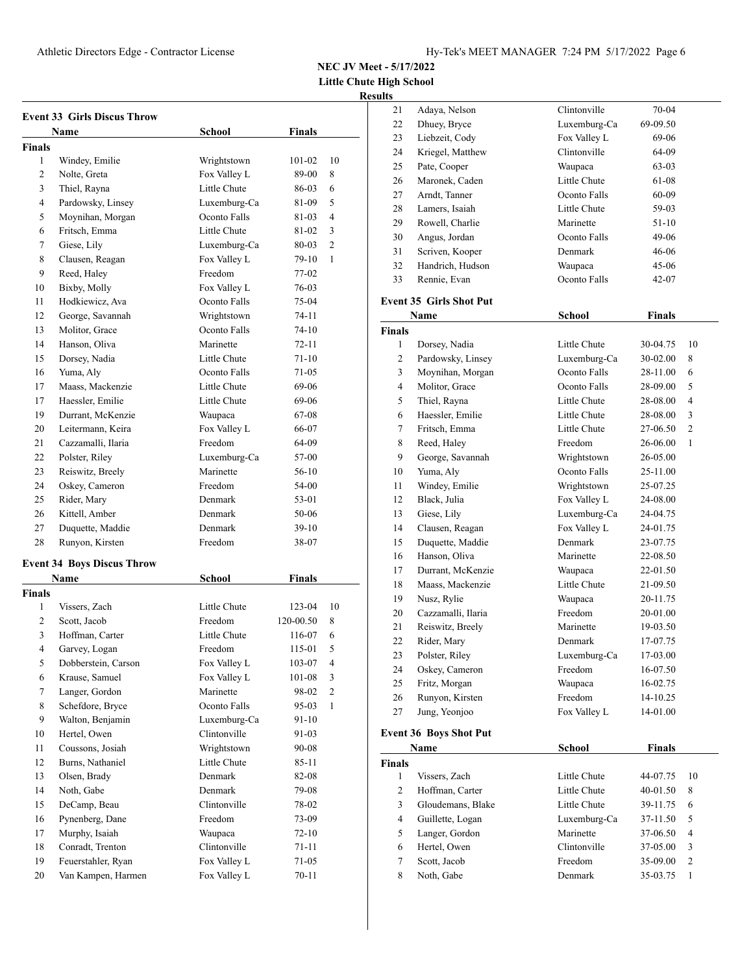**Little Chute High School**

#### **Results**

| <b>Event 33 Girls Discus Throw</b> |                                   |               |           |                |
|------------------------------------|-----------------------------------|---------------|-----------|----------------|
|                                    | Name                              | School        | Finals    |                |
| Finals                             |                                   |               |           |                |
| 1                                  | Windey, Emilie                    | Wrightstown   | 101-02    | 10             |
| 2                                  | Nolte, Greta                      | Fox Valley L  | 89-00     | 8              |
| 3                                  | Thiel, Rayna                      | Little Chute  | 86-03     | 6              |
| 4                                  | Pardowsky, Linsey                 | Luxemburg-Ca  | 81-09     | 5              |
| 5                                  | Moynihan, Morgan                  | Oconto Falls  | 81-03     | 4              |
| 6                                  | Fritsch, Emma                     | Little Chute  | 81-02     | 3              |
| 7                                  | Giese, Lily                       | Luxemburg-Ca  | 80-03     | $\overline{c}$ |
| 8                                  | Clausen, Reagan                   | Fox Valley L  | 79-10     | 1              |
| 9                                  | Reed, Haley                       | Freedom       | 77-02     |                |
| 10                                 | Bixby, Molly                      | Fox Valley L  | 76-03     |                |
| 11                                 | Hodkiewicz, Ava                   | Oconto Falls  | 75-04     |                |
| 12                                 | George, Savannah                  | Wrightstown   | 74-11     |                |
| 13                                 | Molitor, Grace                    | Oconto Falls  | 74-10     |                |
| 14                                 | Hanson, Oliva                     | Marinette     | 72-11     |                |
| 15                                 | Dorsey, Nadia                     | Little Chute  | $71 - 10$ |                |
| 16                                 | Yuma, Aly                         | Oconto Falls  | 71-05     |                |
| 17                                 | Maass, Mackenzie                  | Little Chute  | 69-06     |                |
| 17                                 | Haessler, Emilie                  | Little Chute  | 69-06     |                |
| 19                                 | Durrant, McKenzie                 | Waupaca       | 67-08     |                |
| 20                                 | Leitermann, Keira                 | Fox Valley L  | 66-07     |                |
| 21                                 | Cazzamalli, Ilaria                | Freedom       | 64-09     |                |
| 22                                 | Polster, Riley                    | Luxemburg-Ca  | 57-00     |                |
| 23                                 | Reiswitz, Breely                  | Marinette     | 56-10     |                |
| 24                                 | Oskey, Cameron                    | Freedom       | 54-00     |                |
| 25                                 | Rider, Mary                       | Denmark       | 53-01     |                |
| 26                                 | Kittell, Amber                    | Denmark       | 50-06     |                |
| 27                                 | Duquette, Maddie                  | Denmark       | 39-10     |                |
| 28                                 | Runyon, Kirsten                   | Freedom       | 38-07     |                |
|                                    |                                   |               |           |                |
|                                    | <b>Event 34 Boys Discus Throw</b> |               |           |                |
|                                    | <b>Name</b>                       | <b>School</b> | Finals    |                |
| Finals                             |                                   |               |           |                |
| 1                                  | Vissers, Zach                     | Little Chute  | 123-04    | 10             |
| 2                                  | Scott, Jacob                      | Freedom       | 120-00.50 | 8              |
| 3                                  | Hoffman, Carter                   | Little Chute  | 116-07    | 6              |
| 4                                  | Garvey, Logan                     | Freedom       | 115-01    | 5              |
| 5                                  | Dobberstein, Carson               | Fox Valley L  | 103-07    | 4              |
| 6                                  | Krause, Samuel                    | Fox Valley L  | 101-08    | 3              |
| 7                                  | Langer, Gordon                    | Marinette     | 98-02     | $\overline{c}$ |
| 8                                  | Schefdore, Bryce                  | Oconto Falls  | 95-03     | $\mathbf{1}$   |
| 9                                  | Walton, Benjamin                  | Luxemburg-Ca  | 91-10     |                |
| 10                                 | Hertel, Owen                      | Clintonville  | 91-03     |                |
| 11                                 | Coussons, Josiah                  | Wrightstown   | 90-08     |                |
| 12                                 | Burns, Nathaniel                  | Little Chute  | 85-11     |                |
| 13                                 | Olsen, Brady                      | Denmark       | 82-08     |                |
| 14                                 | Noth, Gabe                        | Denmark       | 79-08     |                |
| 15                                 | DeCamp, Beau                      | Clintonville  | 78-02     |                |
| 16                                 | Pynenberg, Dane                   | Freedom       | 73-09     |                |
| 17                                 | Murphy, Isaiah                    | Waupaca       | 72-10     |                |
| 18                                 | Conradt, Trenton                  | Clintonville  | 71-11     |                |
| 19                                 | Feuerstahler, Ryan                | Fox Valley L  | 71-05     |                |
| 20                                 | Van Kampen, Harmen                | Fox Valley L  | 70-11     |                |

| 21             | Adaya, Nelson                 | Clintonville  | 70-04         |    |
|----------------|-------------------------------|---------------|---------------|----|
| 22             | Dhuey, Bryce                  | Luxemburg-Ca  | 69-09.50      |    |
| 23             | Liebzeit, Cody                | Fox Valley L  | 69-06         |    |
| 24             | Kriegel, Matthew              | Clintonville  | 64-09         |    |
| 25             | Pate, Cooper                  | Waupaca       | 63-03         |    |
| 26             | Maronek, Caden                | Little Chute  | 61-08         |    |
| 27             | Arndt, Tanner                 | Oconto Falls  | 60-09         |    |
| 28             | Lamers, Isaiah                | Little Chute  | 59-03         |    |
| 29             | Rowell, Charlie               | Marinette     | 51-10         |    |
| 30             | Angus, Jordan                 | Oconto Falls  | 49-06         |    |
| 31             | Scriven, Kooper               | Denmark       | 46-06         |    |
| 32             | Handrich, Hudson              | Waupaca       | 45-06         |    |
| 33             | Rennie, Evan                  | Oconto Falls  | 42-07         |    |
|                | Event 35 Girls Shot Put       |               |               |    |
|                | Name                          | <b>School</b> | <b>Finals</b> |    |
| <b>Finals</b>  |                               |               |               |    |
| 1              | Dorsey, Nadia                 | Little Chute  | 30-04.75      | 10 |
| $\overline{2}$ | Pardowsky, Linsey             | Luxemburg-Ca  | 30-02.00      | 8  |
| 3              | Moynihan, Morgan              | Oconto Falls  | 28-11.00      | 6  |
| $\overline{4}$ | Molitor, Grace                | Oconto Falls  | 28-09.00      | 5  |
| 5              | Thiel, Rayna                  | Little Chute  | 28-08.00      | 4  |
| 6              | Haessler, Emilie              | Little Chute  | 28-08.00      | 3  |
| 7              | Fritsch, Emma                 | Little Chute  | 27-06.50      | 2  |
| 8              | Reed, Haley                   | Freedom       | 26-06.00      | 1  |
| 9              | George, Savannah              | Wrightstown   | 26-05.00      |    |
| 10             | Yuma, Aly                     | Oconto Falls  | 25-11.00      |    |
| 11             | Windey, Emilie                | Wrightstown   | 25-07.25      |    |
| 12             | Black, Julia                  | Fox Valley L  | 24-08.00      |    |
| 13             | Giese, Lily                   | Luxemburg-Ca  | 24-04.75      |    |
| 14             | Clausen, Reagan               | Fox Valley L  | 24-01.75      |    |
| 15             | Duquette, Maddie              | Denmark       | 23-07.75      |    |
| 16             | Hanson, Oliva                 | Marinette     | 22-08.50      |    |
| 17             | Durrant, McKenzie             | Waupaca       | 22-01.50      |    |
| 18             | Maass, Mackenzie              | Little Chute  | 21-09.50      |    |
| 19             | Nusz, Rylie                   | Waupaca       | 20-11.75      |    |
| 20             | Cazzamalli, Ilaria            | Freedom       | 20-01.00      |    |
| 21             | Reiswitz, Breely              | Marinette     | 19-03.50      |    |
| 22             | Rider, Mary                   | Denmark       | 17-07.75      |    |
| 23             | Polster, Riley                | Luxemburg-Ca  | 17-03.00      |    |
| 24             | Oskey, Cameron                | Freedom       | 16-07.50      |    |
| 25             | Fritz, Morgan                 | Waupaca       | 16-02.75      |    |
| 26             | Runyon, Kirsten               | Freedom       | 14-10.25      |    |
| 27             | Jung, Yeonjoo                 | Fox Valley L  | 14-01.00      |    |
|                | <b>Event 36 Boys Shot Put</b> |               |               |    |
|                | Name                          | School        | <b>Finals</b> |    |

| ivame             | эспоог       |              |                |
|-------------------|--------------|--------------|----------------|
|                   |              |              |                |
| Vissers, Zach     | Little Chute | 44-07.75     | 10             |
| Hoffman, Carter   | Little Chute | $40 - 01.50$ | 8              |
| Gloudemans, Blake | Little Chute | 39-11.75     | 6              |
| Guillette, Logan  | Luxemburg-Ca | 37-11.50     | 5              |
| Langer, Gordon    | Marinette    | 37-06.50     | $\overline{4}$ |
| Hertel, Owen      | Clintonville | 37-05.00     | 3              |
| Scott, Jacob      | Freedom      | 35-09.00     | $\overline{2}$ |
| Noth, Gabe        | Denmark      | 35-03.75     |                |
|                   |              |              | r mais         |